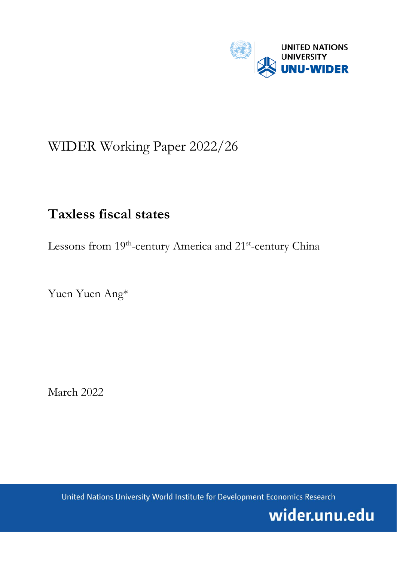

# WIDER Working Paper 2022/26

## **Taxless fiscal states**

Lessons from 19<sup>th</sup>-century America and 21<sup>st</sup>-century China

Yuen Yuen Ang\*

March 2022

United Nations University World Institute for Development Economics Research

wider.unu.edu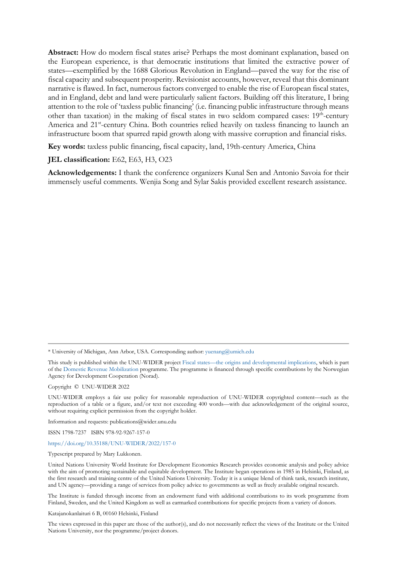**Abstract:** How do modern fiscal states arise? Perhaps the most dominant explanation, based on the European experience, is that democratic institutions that limited the extractive power of states—exemplified by the 1688 Glorious Revolution in England—paved the way for the rise of fiscal capacity and subsequent prosperity. Revisionist accounts, however, reveal that this dominant narrative is flawed. In fact, numerous factors converged to enable the rise of European fiscal states, and in England, debt and land were particularly salient factors. Building off this literature, I bring attention to the role of 'taxless public financing' (i.e. financing public infrastructure through means other than taxation) in the making of fiscal states in two seldom compared cases:  $19<sup>th</sup>$ -century America and 21<sup>st</sup>-century China. Both countries relied heavily on taxless financing to launch an infrastructure boom that spurred rapid growth along with massive corruption and financial risks.

**Key words:** taxless public financing, fiscal capacity, land, 19th-century America, China

#### **JEL classification:** E62, E63, H3, O23

**Acknowledgements:** I thank the conference organizers Kunal Sen and Antonio Savoia for their immensely useful comments. Wenjia Song and Sylar Sakis provided excellent research assistance.

Copyright © UNU-WIDER 2022

Information and requests: publications@wider.unu.edu

ISSN 1798-7237 ISBN 978-92-9267-157-0

#### <https://doi.org/10.35188/UNU-WIDER/2022/157-0>

Typescript prepared by Mary Lukkonen.

The Institute is funded through income from an endowment fund with additional contributions to its work programme from Finland, Sweden, and the United Kingdom as well as earmarked contributions for specific projects from a variety of donors.

Katajanokanlaituri 6 B, 00160 Helsinki, Finland

The views expressed in this paper are those of the author(s), and do not necessarily reflect the views of the Institute or the United Nations University, nor the programme/project donors.

<sup>\*</sup> University of Michigan, Ann Arbor, USA. Corresponding author: yuenang@umich.edu

This study is published within the UNU-WIDER project Fiscal states—the origins and developmental implications, which is part of the Domestic Revenue Mobilization programme. The program[me is financed through s](mailto:yuenang@umich.edu)pecific contributions by the Norwegian Agency for Development Cooperation (Norad).

UNU-WIDER employs a fair use policy for reasonable reproduction of UNU-WIDER copyrighted content—such as the reproduction of a table or a figure, and/or text not exceeding 400 words—with due acknowledgement of the original source, without requiring explicit permission from the copyright holder.

United Nations University World Institute for Development Economics Research provides economic analysis and policy advice with the aim of promoting sustainable and equitable development. The Institute began operations in 1985 in Helsinki, Finland, as the first research and training centre of the United Nations University. Today it is a unique blend of think tank, research institute, and UN agency—providing a range of services from policy advice to governments as well as freely available original research.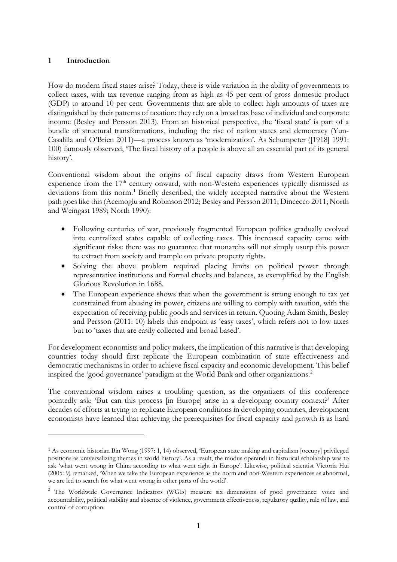### **1 Introduction**

How do modern fiscal states arise? Today, there is wide variation in the ability of governments to collect taxes, with tax revenue ranging from as high as 45 per cent of gross domestic product (GDP) to around 10 per cent. Governments that are able to collect high amounts of taxes are distinguished by their patterns of taxation: they rely on a broad tax base of individual and corporate income (Besley and Persson 2013). From an historical perspective, the 'fiscal state' is part of a bundle of structural transformations, including the rise of nation states and democracy (Yun-Casalilla and O'Brien 2011)—a process known as 'modernization'. As Schumpeter ([1918] 1991: 100) famously observed, 'The fiscal history of a people is above all an essential part of its general history'.

Conventional wisdom about the origins of fiscal capacity draws from Western European experience from the 17<sup>th</sup> century onward, with non-Western experiences typically dismissed as deviations from this norm.<sup>[1](#page-2-0)</sup> Briefly described, the widely accepted narrative about the Western path goes like this (Acemoglu and Robinson 2012; Besley and Persson 2011; Dincecco 2011; North and Weingast 1989; North 1990):

- Following centuries of war, previously fragmented European polities gradually evolved into centralized states capable of collecting taxes. This increased capacity came with significant risks: there was no guarantee that monarchs will not simply usurp this power to extract from society and trample on private property rights.
- Solving the above problem required placing limits on political power through representative institutions and formal checks and balances, as exemplified by the English Glorious Revolution in 1688.
- The European experience shows that when the government is strong enough to tax yet constrained from abusing its power, citizens are willing to comply with taxation, with the expectation of receiving public goods and services in return. Quoting Adam Smith, Besley and Persson (2011: 10) labels this endpoint as 'easy taxes', which refers not to low taxes but to 'taxes that are easily collected and broad based'.

For development economists and policy makers, the implication of this narrative is that developing countries today should first replicate the European combination of state effectiveness and democratic mechanisms in order to achieve fiscal capacity and economic development. This belief inspired the 'good governance' paradigm at the World Bank and other organizations.[2](#page-2-1)

The conventional wisdom raises a troubling question, as the organizers of this conference pointedly ask: 'But can this process [in Europe] arise in a developing country context?' After decades of efforts at trying to replicate European conditions in developing countries, development economists have learned that achieving the prerequisites for fiscal capacity and growth is as hard

<span id="page-2-0"></span><sup>1</sup> As economic historian Bin Wong (1997: 1, 14) observed, 'European state making and capitalism [occupy] privileged positions as universalizing themes in world history'. As a result, the modus operandi in historical scholarship was to ask 'what went wrong in China according to what went right in Europe'. Likewise, political scientist Victoria Hui (2005: 9) remarked, 'When we take the European experience as the norm and non-Western experiences as abnormal, we are led to search for what went wrong in other parts of the world'.

<span id="page-2-1"></span><sup>&</sup>lt;sup>2</sup> The Worldwide Governance Indicators (WGIs) measure six dimensions of good governance: voice and accountability, political stability and absence of violence, government effectiveness, regulatory quality, rule of law, and control of corruption.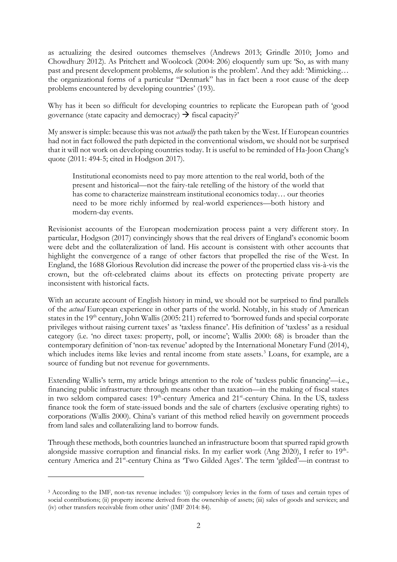as actualizing the desired outcomes themselves (Andrews 2013; Grindle 2010; Jomo and Chowdhury 2012). As Pritchett and Woolcock (2004: 206) eloquently sum up: 'So, as with many past and present development problems, *the* solution is the problem'. And they add: 'Mimicking… the organizational forms of a particular "Denmark" has in fact been a root cause of the deep problems encountered by developing countries' (193).

Why has it been so difficult for developing countries to replicate the European path of 'good governance (state capacity and democracy)  $\rightarrow$  fiscal capacity?'

My answer is simple: because this was not *actually* the path taken by the West. If European countries had not in fact followed the path depicted in the conventional wisdom, we should not be surprised that it will not work on developing countries today. It is useful to be reminded of Ha-Joon Chang's quote (2011: 494-5; cited in Hodgson 2017).

Institutional economists need to pay more attention to the real world, both of the present and historical—not the fairy-tale retelling of the history of the world that has come to characterize mainstream institutional economics today… our theories need to be more richly informed by real-world experiences—both history and modern-day events.

Revisionist accounts of the European modernization process paint a very different story. In particular, Hodgson (2017) convincingly shows that the real drivers of England's economic boom were debt and the collateralization of land. His account is consistent with other accounts that highlight the convergence of a range of other factors that propelled the rise of the West. In England, the 1688 Glorious Revolution did increase the power of the propertied class vis-à-vis the crown, but the oft-celebrated claims about its effects on protecting private property are inconsistent with historical facts.

With an accurate account of English history in mind, we should not be surprised to find parallels of the *actual* European experience in other parts of the world. Notably, in his study of American states in the 19<sup>th</sup> century, John Wallis (2005: 211) referred to 'borrowed funds and special corporate privileges without raising current taxes' as 'taxless finance'. His definition of 'taxless' as a residual category (i.e. 'no direct taxes: property, poll, or income'; Wallis 2000: 68) is broader than the contemporary definition of 'non-tax revenue' adopted by the International Monetary Fund (2014), which includes items like levies and rental income from state assets.<sup>[3](#page-3-0)</sup> Loans, for example, are a source of funding but not revenue for governments.

Extending Wallis's term, my article brings attention to the role of 'taxless public financing'—i.e., financing public infrastructure through means other than taxation—in the making of fiscal states in two seldom compared cases: 19<sup>th</sup>-century America and 21<sup>st</sup>-century China. In the US, taxless finance took the form of state-issued bonds and the sale of charters (exclusive operating rights) to corporations (Wallis 2000). China's variant of this method relied heavily on government proceeds from land sales and collateralizing land to borrow funds.

Through these methods, both countries launched an infrastructure boom that spurred rapid growth alongside massive corruption and financial risks. In my earlier work (Ang 2020), I refer to  $19<sup>th</sup>$ century America and 21st-century China as 'Two Gilded Ages'. The term 'gilded'—in contrast to

<span id="page-3-0"></span><sup>3</sup> According to the IMF, non-tax revenue includes: '(i) compulsory levies in the form of taxes and certain types of social contributions; (ii) property income derived from the ownership of assets; (iii) sales of goods and services; and (iv) other transfers receivable from other units' (IMF 2014: 84).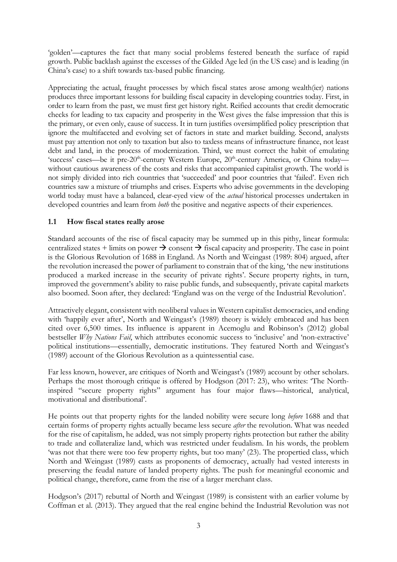'golden'—captures the fact that many social problems festered beneath the surface of rapid growth. Public backlash against the excesses of the Gilded Age led (in the US case) and is leading (in China's case) to a shift towards tax-based public financing.

Appreciating the actual, fraught processes by which fiscal states arose among wealth(ier) nations produces three important lessons for building fiscal capacity in developing countries today. First, in order to learn from the past, we must first get history right. Reified accounts that credit democratic checks for leading to tax capacity and prosperity in the West gives the false impression that this is the primary, or even only, cause of success. It in turn justifies oversimplified policy prescription that ignore the multifaceted and evolving set of factors in state and market building. Second, analysts must pay attention not only to taxation but also to taxless means of infrastructure finance, not least debt and land, in the process of modernization. Third, we must correct the habit of emulating 'success' cases—be it pre- $20<sup>th</sup>$ -century Western Europe,  $20<sup>th</sup>$ -century America, or China today without cautious awareness of the costs and risks that accompanied capitalist growth. The world is not simply divided into rich countries that 'succeeded' and poor countries that 'failed'. Even rich countries saw a mixture of triumphs and crises. Experts who advise governments in the developing world today must have a balanced, clear-eyed view of the *actual* historical processes undertaken in developed countries and learn from *both* the positive and negative aspects of their experiences.

## **1.1 How fiscal states really arose**

Standard accounts of the rise of fiscal capacity may be summed up in this pithy, linear formula: centralized states + limits on power  $\rightarrow$  consent  $\rightarrow$  fiscal capacity and prosperity. The case in point is the Glorious Revolution of 1688 in England. As North and Weingast (1989: 804) argued, after the revolution increased the power of parliament to constrain that of the king, 'the new institutions produced a marked increase in the security of private rights'. Secure property rights, in turn, improved the government's ability to raise public funds, and subsequently, private capital markets also boomed. Soon after, they declared: 'England was on the verge of the Industrial Revolution'.

Attractively elegant, consistent with neoliberal values in Western capitalist democracies, and ending with 'happily ever after', North and Weingast's (1989) theory is widely embraced and has been cited over 6,500 times. Its influence is apparent in Acemoglu and Robinson's (2012) global bestseller *Why Nations Fail*, which attributes economic success to 'inclusive' and 'non-extractive' political institutions—essentially, democratic institutions. They featured North and Weingast's (1989) account of the Glorious Revolution as a quintessential case.

Far less known, however, are critiques of North and Weingast's (1989) account by other scholars. Perhaps the most thorough critique is offered by Hodgson (2017: 23), who writes: 'The Northinspired "secure property rights" argument has four major flaws—historical, analytical, motivational and distributional'.

He points out that property rights for the landed nobility were secure long *before* 1688 and that certain forms of property rights actually became less secure *after* the revolution. What was needed for the rise of capitalism, he added, was not simply property rights protection but rather the ability to trade and collateralize land, which was restricted under feudalism. In his words, the problem 'was not that there were too few property rights, but too many' (23). The propertied class, which North and Weingast (1989) casts as proponents of democracy, actually had vested interests in preserving the feudal nature of landed property rights. The push for meaningful economic and political change, therefore, came from the rise of a larger merchant class.

Hodgson's (2017) rebuttal of North and Weingast (1989) is consistent with an earlier volume by Coffman et al. (2013). They argued that the real engine behind the Industrial Revolution was not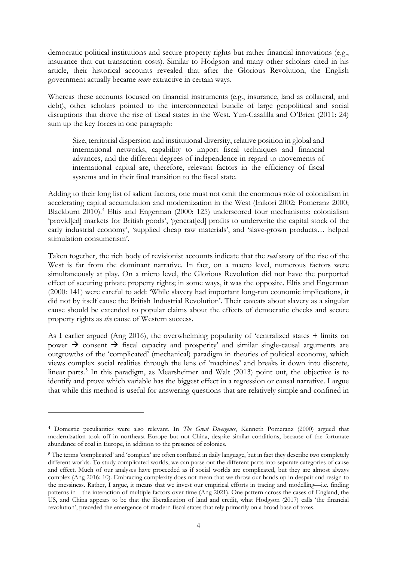democratic political institutions and secure property rights but rather financial innovations (e.g., insurance that cut transaction costs). Similar to Hodgson and many other scholars cited in his article, their historical accounts revealed that after the Glorious Revolution, the English government actually became *more* extractive in certain ways.

Whereas these accounts focused on financial instruments (e.g., insurance, land as collateral, and debt), other scholars pointed to the interconnected bundle of large geopolitical and social disruptions that drove the rise of fiscal states in the West. Yun-Casalilla and O'Brien (2011: 24) sum up the key forces in one paragraph:

Size, territorial dispersion and institutional diversity, relative position in global and international networks, capability to import fiscal techniques and financial advances, and the different degrees of independence in regard to movements of international capital are, therefore, relevant factors in the efficiency of fiscal systems and in their final transition to the fiscal state.

Adding to their long list of salient factors, one must not omit the enormous role of colonialism in accelerating capital accumulation and modernization in the West (Inikori 2002; Pomeranz 2000; Blackburn 2010).<sup>[4](#page-5-0)</sup> Eltis and Engerman (2000: 125) underscored four mechanisms: colonialism 'provid[ed] markets for British goods', 'generat[ed] profits to underwrite the capital stock of the early industrial economy', 'supplied cheap raw materials', and 'slave-grown products… helped stimulation consumerism'.

Taken together, the rich body of revisionist accounts indicate that the *real* story of the rise of the West is far from the dominant narrative. In fact, on a macro level, numerous factors were simultaneously at play. On a micro level, the Glorious Revolution did not have the purported effect of securing private property rights; in some ways, it was the opposite. Eltis and Engerman (2000: 141) were careful to add: 'While slavery had important long-run economic implications, it did not by itself cause the British Industrial Revolution'. Their caveats about slavery as a singular cause should be extended to popular claims about the effects of democratic checks and secure property rights as *the* cause of Western success.

As I earlier argued (Ang 2016), the overwhelming popularity of 'centralized states + limits on power  $\rightarrow$  consent  $\rightarrow$  fiscal capacity and prosperity' and similar single-causal arguments are outgrowths of the 'complicated' (mechanical) paradigm in theories of political economy, which views complex social realities through the lens of 'machines' and breaks it down into discrete, linear parts.<sup>[5](#page-5-1)</sup> In this paradigm, as Mearsheimer and Walt (2013) point out, the objective is to identify and prove which variable has the biggest effect in a regression or causal narrative. I argue that while this method is useful for answering questions that are relatively simple and confined in

<span id="page-5-0"></span><sup>4</sup> Domestic peculiarities were also relevant. In *The Great Divergence*, Kenneth Pomeranz (2000) argued that modernization took off in northeast Europe but not China, despite similar conditions, because of the fortunate abundance of coal in Europe, in addition to the presence of colonies.

<span id="page-5-1"></span><sup>&</sup>lt;sup>5</sup> The terms 'complicated' and 'complex' are often conflated in daily language, but in fact they describe two completely different worlds. To study complicated worlds, we can parse out the different parts into separate categories of cause and effect. Much of our analyses have proceeded as if social worlds are complicated, but they are almost always complex (Ang 2016: 10). Embracing complexity does not mean that we throw our hands up in despair and resign to the messiness. Rather, I argue, it means that we invest our empirical efforts in tracing and modelling—i.e. finding patterns in—the interaction of multiple factors over time (Ang 2021). One pattern across the cases of England, the US, and China appears to be that the liberalization of land and credit, what Hodgson (2017) calls 'the financial revolution', preceded the emergence of modern fiscal states that rely primarily on a broad base of taxes.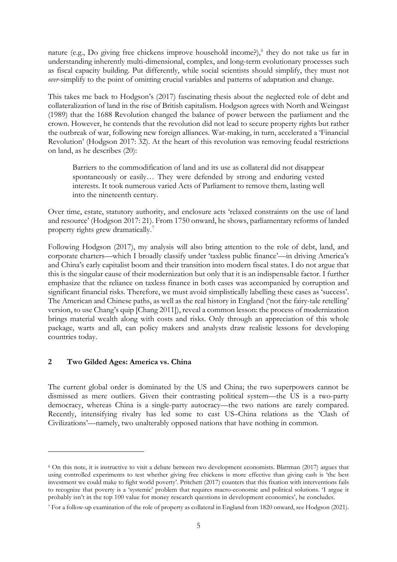nature (e.g., Do giving free chickens improve household income?),<sup>[6](#page-6-0)</sup> they do not take us far in understanding inherently multi-dimensional, complex, and long-term evolutionary processes such as fiscal capacity building. Put differently, while social scientists should simplify, they must not *over*-simplify to the point of omitting crucial variables and patterns of adaptation and change.

This takes me back to Hodgson's (2017) fascinating thesis about the neglected role of debt and collateralization of land in the rise of British capitalism. Hodgson agrees with North and Weingast (1989) that the 1688 Revolution changed the balance of power between the parliament and the crown. However, he contends that the revolution did not lead to secure property rights but rather the outbreak of war, following new foreign alliances. War-making, in turn, accelerated a 'Financial Revolution' (Hodgson 2017: 32). At the heart of this revolution was removing feudal restrictions on land, as he describes (20):

Barriers to the commodification of land and its use as collateral did not disappear spontaneously or easily… They were defended by strong and enduring vested interests. It took numerous varied Acts of Parliament to remove them, lasting well into the nineteenth century.

Over time, estate, statutory authority, and enclosure acts 'relaxed constraints on the use of land and resource' (Hodgson 2017: 21). From 1750 onward, he shows, parliamentary reforms of landed property rights grew dramatically.<sup>[7](#page-6-1)</sup>

Following Hodgson (2017), my analysis will also bring attention to the role of debt, land, and corporate charters—which I broadly classify under 'taxless public finance'—in driving America's and China's early capitalist boom and their transition into modern fiscal states. I do not argue that this is the singular cause of their modernization but only that it is an indispensable factor. I further emphasize that the reliance on taxless finance in both cases was accompanied by corruption and significant financial risks. Therefore, we must avoid simplistically labelling these cases as 'success'. The American and Chinese paths, as well as the real history in England ('not the fairy-tale retelling' version, to use Chang's quip [Chang 2011]), reveal a common lesson: the process of modernization brings material wealth along with costs and risks. Only through an appreciation of this whole package, warts and all, can policy makers and analysts draw realistic lessons for developing countries today.

### **2 Two Gilded Ages: America vs. China**

The current global order is dominated by the US and China; the two superpowers cannot be dismissed as mere outliers. Given their contrasting political system—the US is a two-party democracy, whereas China is a single-party autocracy—the two nations are rarely compared. Recently, intensifying rivalry has led some to cast US–China relations as the 'Clash of Civilizations'—namely, two unalterably opposed nations that have nothing in common.

<span id="page-6-0"></span><sup>6</sup> On this note, it is instructive to visit a debate between two development economists. Blattman (2017) argues that using controlled experiments to test whether giving free chickens is more effective than giving cash is 'the best investment we could make to fight world poverty'. Pritchett (2017) counters that this fixation with interventions fails to recognize that poverty is a 'systemic' problem that requires macro-economic and political solutions. 'I argue it probably isn't in the top 100 value for money research questions in development economics', he concludes.

<span id="page-6-1"></span><sup>7</sup> For a follow-up examination of the role of property as collateral in England from 1820 onward, see Hodgson (2021).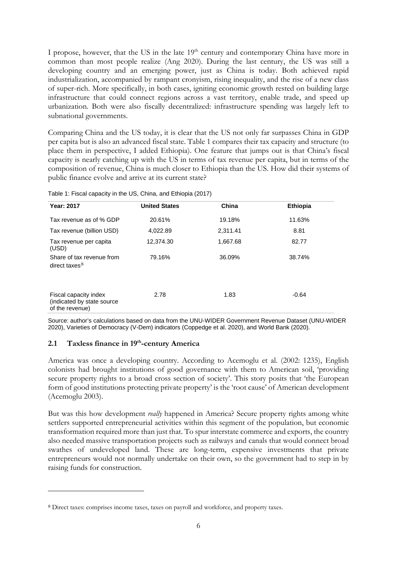I propose, however, that the US in the late 19<sup>th</sup> century and contemporary China have more in common than most people realize (Ang 2020). During the last century, the US was still a developing country and an emerging power, just as China is today. Both achieved rapid industrialization, accompanied by rampant cronyism, rising inequality, and the rise of a new class of super-rich. More specifically, in both cases, igniting economic growth rested on building large infrastructure that could connect regions across a vast territory, enable trade, and speed up urbanization. Both were also fiscally decentralized: infrastructure spending was largely left to subnational governments.

Comparing China and the US today, it is clear that the US not only far surpasses China in GDP per capita but is also an advanced fiscal state. Table 1 compares their tax capacity and structure (to place them in perspective, I added Ethiopia). One feature that jumps out is that China's fiscal capacity is nearly catching up with the US in terms of tax revenue per capita, but in terms of the composition of revenue, China is much closer to Ethiopia than the US. How did their systems of public finance evolve and arrive at its current state?

| <b>Year: 2017</b>                                                       | <b>United States</b> | China    | <b>Ethiopia</b> |
|-------------------------------------------------------------------------|----------------------|----------|-----------------|
| Tax revenue as of % GDP                                                 | 20.61%               | 19.18%   | 11.63%          |
| Tax revenue (billion USD)                                               | 4,022.89             | 2,311.41 | 8.81            |
| Tax revenue per capita<br>(USD)                                         | 12,374.30            | 1,667.68 | 82.77           |
| Share of tax revenue from<br>direct taxes <sup>8</sup>                  | 79.16%               | 36.09%   | 38.74%          |
| Fiscal capacity index<br>(indicated by state source)<br>of the revenue) | 2.78                 | 1.83     | $-0.64$         |

Table 1: Fiscal capacity in the US, China, and Ethiopia (2017)

Source: author's calculations based on data from the UNU-WIDER Government Revenue Dataset (UNU-WIDER 2020), Varieties of Democracy (V-Dem) indicators (Coppedge et al. 2020), and World Bank (2020).

## **2.1 Taxless finance in 19th-century America**

America was once a developing country. According to Acemoglu et al. (2002: 1235), English colonists had brought institutions of good governance with them to American soil, 'providing secure property rights to a broad cross section of society'. This story posits that 'the European form of good institutions protecting private property' is the 'root cause' of American development (Acemoglu 2003).

But was this how development *really* happened in America? Secure property rights among white settlers supported entrepreneurial activities within this segment of the population, but economic transformation required more than just that. To spur interstate commerce and exports, the country also needed massive transportation projects such as railways and canals that would connect broad swathes of undeveloped land. These are long-term, expensive investments that private entrepreneurs would not normally undertake on their own, so the government had to step in by raising funds for construction.

<span id="page-7-0"></span><sup>8</sup> Direct taxes: comprises income taxes, taxes on payroll and workforce, and property taxes.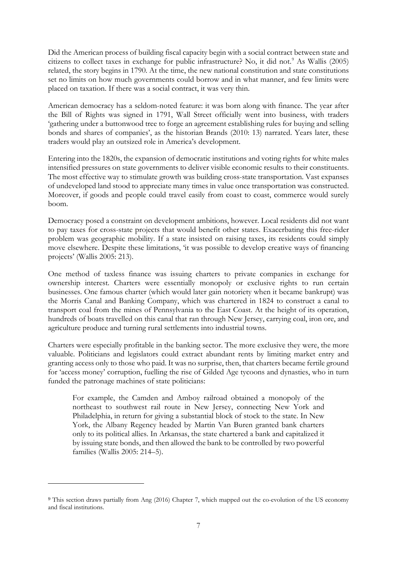Did the American process of building fiscal capacity begin with a social contract between state and citizens to collect taxes in exchange for public infrastructure? No, it did not.<sup>[9](#page-8-0)</sup> As Wallis (2005) related, the story begins in 1790. At the time, the new national constitution and state constitutions set no limits on how much governments could borrow and in what manner, and few limits were placed on taxation. If there was a social contract, it was very thin.

American democracy has a seldom-noted feature: it was born along with finance. The year after the Bill of Rights was signed in 1791, Wall Street officially went into business, with traders 'gathering under a buttonwood tree to forge an agreement establishing rules for buying and selling bonds and shares of companies', as the historian Brands (2010: 13) narrated. Years later, these traders would play an outsized role in America's development.

Entering into the 1820s, the expansion of democratic institutions and voting rights for white males intensified pressures on state governments to deliver visible economic results to their constituents. The most effective way to stimulate growth was building cross-state transportation. Vast expanses of undeveloped land stood to appreciate many times in value once transportation was constructed. Moreover, if goods and people could travel easily from coast to coast, commerce would surely boom.

Democracy posed a constraint on development ambitions, however. Local residents did not want to pay taxes for cross-state projects that would benefit other states. Exacerbating this free-rider problem was geographic mobility. If a state insisted on raising taxes, its residents could simply move elsewhere. Despite these limitations, 'it was possible to develop creative ways of financing projects' (Wallis 2005: 213).

One method of taxless finance was issuing charters to private companies in exchange for ownership interest. Charters were essentially monopoly or exclusive rights to run certain businesses. One famous charter (which would later gain notoriety when it became bankrupt) was the Morris Canal and Banking Company, which was chartered in 1824 to construct a canal to transport coal from the mines of Pennsylvania to the East Coast. At the height of its operation, hundreds of boats travelled on this canal that ran through New Jersey, carrying coal, iron ore, and agriculture produce and turning rural settlements into industrial towns.

Charters were especially profitable in the banking sector. The more exclusive they were, the more valuable. Politicians and legislators could extract abundant rents by limiting market entry and granting access only to those who paid. It was no surprise, then, that charters became fertile ground for 'access money' corruption, fuelling the rise of Gilded Age tycoons and dynasties, who in turn funded the patronage machines of state politicians:

For example, the Camden and Amboy railroad obtained a monopoly of the northeast to southwest rail route in New Jersey, connecting New York and Philadelphia, in return for giving a substantial block of stock to the state. In New York, the Albany Regency headed by Martin Van Buren granted bank charters only to its political allies. In Arkansas, the state chartered a bank and capitalized it by issuing state bonds, and then allowed the bank to be controlled by two powerful families (Wallis 2005: 214–5).

<span id="page-8-0"></span><sup>&</sup>lt;sup>9</sup> This section draws partially from Ang (2016) Chapter 7, which mapped out the co-evolution of the US economy and fiscal institutions.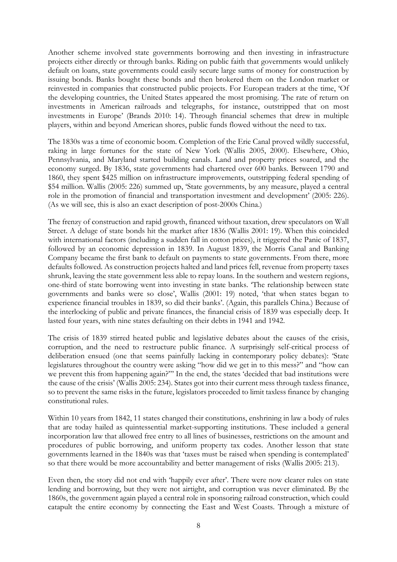Another scheme involved state governments borrowing and then investing in infrastructure projects either directly or through banks. Riding on public faith that governments would unlikely default on loans, state governments could easily secure large sums of money for construction by issuing bonds. Banks bought these bonds and then brokered them on the London market or reinvested in companies that constructed public projects. For European traders at the time, 'Of the developing countries, the United States appeared the most promising. The rate of return on investments in American railroads and telegraphs, for instance, outstripped that on most investments in Europe' (Brands 2010: 14). Through financial schemes that drew in multiple players, within and beyond American shores, public funds flowed without the need to tax.

The 1830s was a time of economic boom. Completion of the Erie Canal proved wildly successful, raking in large fortunes for the state of New York (Wallis 2005, 2000). Elsewhere, Ohio, Pennsylvania, and Maryland started building canals. Land and property prices soared, and the economy surged. By 1836, state governments had chartered over 600 banks. Between 1790 and 1860, they spent \$425 million on infrastructure improvements, outstripping federal spending of \$54 million. Wallis (2005: 226) summed up, 'State governments, by any measure, played a central role in the promotion of financial and transportation investment and development' (2005: 226). (As we will see, this is also an exact description of post-2000s China.)

The frenzy of construction and rapid growth, financed without taxation, drew speculators on Wall Street. A deluge of state bonds hit the market after 1836 (Wallis 2001: 19). When this coincided with international factors (including a sudden fall in cotton prices), it triggered the Panic of 1837, followed by an economic depression in 1839. In August 1839, the Morris Canal and Banking Company became the first bank to default on payments to state governments. From there, more defaults followed. As construction projects halted and land prices fell, revenue from property taxes shrunk, leaving the state government less able to repay loans. In the southern and western regions, one-third of state borrowing went into investing in state banks. 'The relationship between state governments and banks were so close', Wallis (2001: 19) noted, 'that when states began to experience financial troubles in 1839, so did their banks'. (Again, this parallels China.) Because of the interlocking of public and private finances, the financial crisis of 1839 was especially deep. It lasted four years, with nine states defaulting on their debts in 1941 and 1942.

The crisis of 1839 stirred heated public and legislative debates about the causes of the crisis, corruption, and the need to restructure public finance. A surprisingly self-critical process of deliberation ensued (one that seems painfully lacking in contemporary policy debates): 'State legislatures throughout the country were asking "how did we get in to this mess?" and "how can we prevent this from happening again?"' In the end, the states 'decided that bad institutions were the cause of the crisis' (Wallis 2005: 234). States got into their current mess through taxless finance, so to prevent the same risks in the future, legislators proceeded to limit taxless finance by changing constitutional rules.

Within 10 years from 1842, 11 states changed their constitutions, enshrining in law a body of rules that are today hailed as quintessential market-supporting institutions. These included a general incorporation law that allowed free entry to all lines of businesses, restrictions on the amount and procedures of public borrowing, and uniform property tax codes. Another lesson that state governments learned in the 1840s was that 'taxes must be raised when spending is contemplated' so that there would be more accountability and better management of risks (Wallis 2005: 213).

Even then, the story did not end with 'happily ever after'. There were now clearer rules on state lending and borrowing, but they were not airtight, and corruption was never eliminated. By the 1860s, the government again played a central role in sponsoring railroad construction, which could catapult the entire economy by connecting the East and West Coasts. Through a mixture of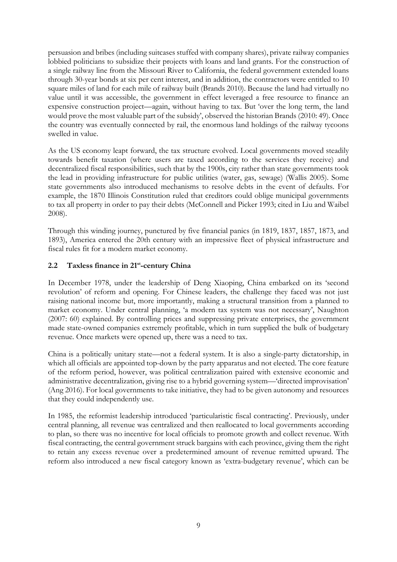persuasion and bribes (including suitcases stuffed with company shares), private railway companies lobbied politicians to subsidize their projects with loans and land grants. For the construction of a single railway line from the Missouri River to California, the federal government extended loans through 30-year bonds at six per cent interest, and in addition, the contractors were entitled to 10 square miles of land for each mile of railway built (Brands 2010). Because the land had virtually no value until it was accessible, the government in effect leveraged a free resource to finance an expensive construction project—again, without having to tax. But 'over the long term, the land would prove the most valuable part of the subsidy', observed the historian Brands (2010: 49). Once the country was eventually connected by rail, the enormous land holdings of the railway tycoons swelled in value.

As the US economy leapt forward, the tax structure evolved. Local governments moved steadily towards benefit taxation (where users are taxed according to the services they receive) and decentralized fiscal responsibilities, such that by the 1900s, city rather than state governments took the lead in providing infrastructure for public utilities (water, gas, sewage) (Wallis 2005). Some state governments also introduced mechanisms to resolve debts in the event of defaults. For example, the 1870 Illinois Constitution ruled that creditors could oblige municipal governments to tax all property in order to pay their debts (McConnell and Picker 1993; cited in Liu and Waibel 2008).

Through this winding journey, punctured by five financial panics (in 1819, 1837, 1857, 1873, and 1893), America entered the 20th century with an impressive fleet of physical infrastructure and fiscal rules fit for a modern market economy.

## **2.2 Taxless finance in 21st-century China**

In December 1978, under the leadership of Deng Xiaoping, China embarked on its 'second revolution' of reform and opening. For Chinese leaders, the challenge they faced was not just raising national income but, more importantly, making a structural transition from a planned to market economy. Under central planning, 'a modern tax system was not necessary', Naughton (2007: 60) explained. By controlling prices and suppressing private enterprises, the government made state-owned companies extremely profitable, which in turn supplied the bulk of budgetary revenue. Once markets were opened up, there was a need to tax.

China is a politically unitary state—not a federal system. It is also a single-party dictatorship, in which all officials are appointed top-down by the party apparatus and not elected. The core feature of the reform period, however, was political centralization paired with extensive economic and administrative decentralization, giving rise to a hybrid governing system—'directed improvisation' (Ang 2016). For local governments to take initiative, they had to be given autonomy and resources that they could independently use.

In 1985, the reformist leadership introduced 'particularistic fiscal contracting'. Previously, under central planning, all revenue was centralized and then reallocated to local governments according to plan, so there was no incentive for local officials to promote growth and collect revenue. With fiscal contracting, the central government struck bargains with each province, giving them the right to retain any excess revenue over a predetermined amount of revenue remitted upward. The reform also introduced a new fiscal category known as 'extra-budgetary revenue', which can be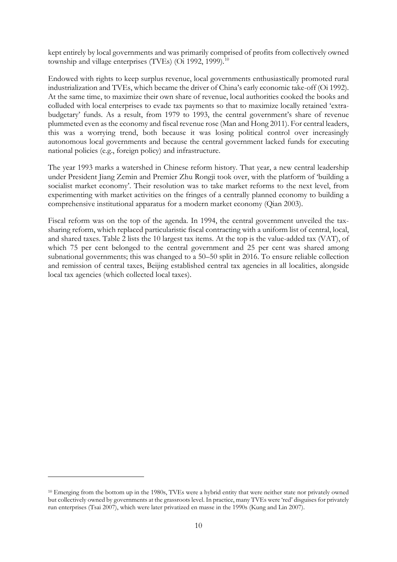kept entirely by local governments and was primarily comprised of profits from collectively owned township and village enterprises (TVEs) (Oi 1992, 1999).<sup>[10](#page-11-0)</sup>

Endowed with rights to keep surplus revenue, local governments enthusiastically promoted rural industrialization and TVEs, which became the driver of China's early economic take-off (Oi 1992). At the same time, to maximize their own share of revenue, local authorities cooked the books and colluded with local enterprises to evade tax payments so that to maximize locally retained 'extrabudgetary' funds. As a result, from 1979 to 1993, the central government's share of revenue plummeted even as the economy and fiscal revenue rose (Man and Hong 2011). For central leaders, this was a worrying trend, both because it was losing political control over increasingly autonomous local governments and because the central government lacked funds for executing national policies (e.g., foreign policy) and infrastructure.

The year 1993 marks a watershed in Chinese reform history. That year, a new central leadership under President Jiang Zemin and Premier Zhu Rongji took over, with the platform of 'building a socialist market economy'. Their resolution was to take market reforms to the next level, from experimenting with market activities on the fringes of a centrally planned economy to building a comprehensive institutional apparatus for a modern market economy (Qian 2003).

Fiscal reform was on the top of the agenda. In 1994, the central government unveiled the taxsharing reform, which replaced particularistic fiscal contracting with a uniform list of central, local, and shared taxes. Table 2 lists the 10 largest tax items. At the top is the value-added tax (VAT), of which 75 per cent belonged to the central government and 25 per cent was shared among subnational governments; this was changed to a 50–50 split in 2016. To ensure reliable collection and remission of central taxes, Beijing established central tax agencies in all localities, alongside local tax agencies (which collected local taxes).

<span id="page-11-0"></span><sup>&</sup>lt;sup>10</sup> Emerging from the bottom up in the 1980s, TVEs were a hybrid entity that were neither state nor privately owned but collectively owned by governments at the grassroots level. In practice, many TVEs were 'red' disguises for privately run enterprises (Tsai 2007), which were later privatized en masse in the 1990s (Kung and Lin 2007).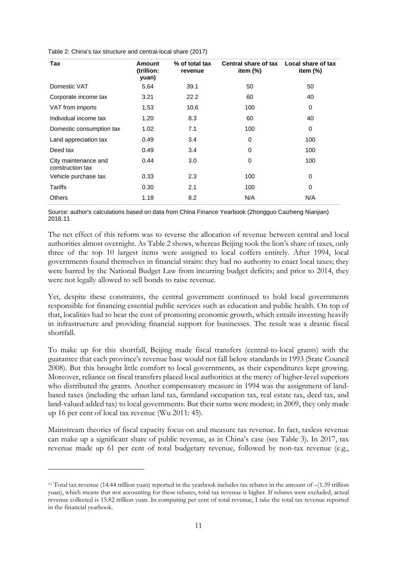Table 2: China's tax structure and central-local share (2017)

| Tax                                      | Amount<br>(trillion:<br>yuan) | % of total tax<br>revenue | Central share of tax Local share of tax<br>item $(%)$ | item (%) |
|------------------------------------------|-------------------------------|---------------------------|-------------------------------------------------------|----------|
| Domestic VAT                             | 5.64                          | 39.1                      | 50                                                    | 50       |
| Corporate income tax                     | 3.21                          | 22.2                      | 60                                                    | 40       |
| VAT from imports                         | 1.53                          | 10.6                      | 100                                                   | 0        |
| Individual income tax                    | 1.20                          | 8.3                       | 60                                                    | 40       |
| Domestic consumption tax                 | 1.02                          | 7.1                       | 100                                                   | 0        |
| Land appreciation tax                    | 0.49                          | 3.4                       | 0                                                     | 100      |
| Deed tax                                 | 0.49                          | 3.4                       | 0                                                     | 100      |
| City maintenance and<br>construction tax | 0.44                          | 3.0                       | 0                                                     | 100      |
| Vehicle purchase tax                     | 0.33                          | 2.3                       | 100                                                   | 0        |
| Tariffs                                  | 0.30                          | 2.1                       | 100                                                   | 0        |
| <b>Others</b>                            | 1.18                          | 8.2                       | N/A                                                   | N/A      |

Source: author's calculations based on data from China Finance Yearbook (Zhongguo Caizheng Nianjian) 2018.[11](#page-12-0)

The net effect of this reform was to reverse the allocation of revenue between central and local authorities almost overnight. As Table 2 shows, whereas Beijing took the lion's share of taxes, only three of the top 10 largest items were assigned to local coffers entirely. After 1994, local governments found themselves in financial straits: they had no authority to enact local taxes; they were barred by the National Budget Law from incurring budget deficits; and prior to 2014, they were not legally allowed to sell bonds to raise revenue.

Yet, despite these constraints, the central government continued to hold local governments responsible for financing essential public services such as education and public health. On top of that, localities had to bear the cost of promoting economic growth, which entails investing heavily in infrastructure and providing financial support for businesses. The result was a drastic fiscal shortfall.

To make up for this shortfall, Beijing made fiscal transfers (central-to-local grants) with the guarantee that each province's revenue base would not fall below standards in 1993 (State Council 2008). But this brought little comfort to local governments, as their expenditures kept growing. Moreover, reliance on fiscal transfers placed local authorities at the mercy of higher-level superiors who distributed the grants. Another compensatory measure in 1994 was the assignment of landbased taxes (including the urban land tax, farmland occupation tax, real estate tax, deed tax, and land-valued added tax) to local governments. But their sums were modest; in 2009, they only made up 16 per cent of local tax revenue (Wu 2011: 45).

Mainstream theories of fiscal capacity focus on and measure tax revenue. In fact, taxless revenue can make up a significant share of public revenue, as in China's case (see Table 3). In 2017, tax revenue made up 61 per cent of total budgetary revenue, followed by non-tax revenue (e.g.,

<span id="page-12-0"></span><sup>11</sup> Total tax revenue (14.44 trillion yuan) reported in the yearbook includes tax rebates in the amount of –(1.39 trillion yuan), which means that not accounting for these rebates, total tax revenue is higher. If rebates were excluded, actual revenue collected is 15.82 trillion yuan. In computing per cent of total revenue, I take the total tax revenue reported in the financial yearbook.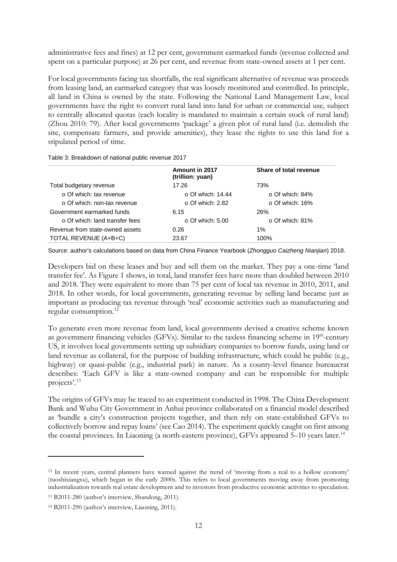administrative fees and fines) at 12 per cent, government earmarked funds (revenue collected and spent on a particular purpose) at 26 per cent, and revenue from state-owned assets at 1 per cent.

For local governments facing tax shortfalls, the real significant alternative of revenue was proceeds from leasing land, an earmarked category that was loosely monitored and controlled. In principle, all land in China is owned by the state. Following the National Land Management Law, local governments have the right to convert rural land into land for urban or commercial use, subject to centrally allocated quotas (each locality is mandated to maintain a certain stock of rural land) (Zhou 2010: 79). After local governments 'package' a given plot of rural land (i.e. demolish the site, compensate farmers, and provide amenities), they lease the rights to use this land for a stipulated period of time.

Table 3: Breakdown of national public revenue 2017

| Amount in 2017<br>Share of total revenue<br>(trillion: yuan)<br>17.26<br>Total budgetary revenue<br>73%<br>$\circ$ Of which: tax revenue<br>$\circ$ Of which: 14.44<br>$\circ$ Of which: 84%<br>$\circ$ Of which: non-tax revenue<br>$\circ$ Of which: 16%<br>$\circ$ Of which: 2.82<br>Government earmarked funds<br>26%<br>6.15<br>o Of which: land transfer fees<br>$\circ$ Of which: 81%<br>$\circ$ Of which: 5.00<br>Revenue from state-owned assets<br>0.26<br>1%<br>TOTAL REVENUE (A+B+C)<br>100%<br>23.67 |  |  |
|-------------------------------------------------------------------------------------------------------------------------------------------------------------------------------------------------------------------------------------------------------------------------------------------------------------------------------------------------------------------------------------------------------------------------------------------------------------------------------------------------------------------|--|--|
|                                                                                                                                                                                                                                                                                                                                                                                                                                                                                                                   |  |  |
|                                                                                                                                                                                                                                                                                                                                                                                                                                                                                                                   |  |  |
|                                                                                                                                                                                                                                                                                                                                                                                                                                                                                                                   |  |  |
|                                                                                                                                                                                                                                                                                                                                                                                                                                                                                                                   |  |  |
|                                                                                                                                                                                                                                                                                                                                                                                                                                                                                                                   |  |  |
|                                                                                                                                                                                                                                                                                                                                                                                                                                                                                                                   |  |  |
|                                                                                                                                                                                                                                                                                                                                                                                                                                                                                                                   |  |  |
|                                                                                                                                                                                                                                                                                                                                                                                                                                                                                                                   |  |  |

Source: author's calculations based on data from China Finance Yearbook (*Zhongguo Caizheng Nianjian*) 2018.

Developers bid on these leases and buy and sell them on the market. They pay a one-time 'land transfer fee'. As Figure 1 shows, in total, land transfer fees have more than doubled between 2010 and 2018. They were equivalent to more than 75 per cent of local tax revenue in 2010, 2011, and 2018. In other words, for local governments, generating revenue by selling land became just as important as producing tax revenue through 'real' economic activities such as manufacturing and regular consumption.<sup>[12](#page-13-0)</sup>

To generate even more revenue from land, local governments devised a creative scheme known as government financing vehicles (GFVs). Similar to the taxless financing scheme in 19<sup>th</sup>-century US, it involves local governments setting up subsidiary companies to borrow funds, using land or land revenue as collateral, for the purpose of building infrastructure, which could be public (e.g., highway) or quasi-public (e.g., industrial park) in nature. As a county-level finance bureaucrat describes: 'Each GFV is like a state-owned company and can be responsible for multiple projects'. [13](#page-13-1)

The origins of GFVs may be traced to an experiment conducted in 1998. The China Development Bank and Wuhu City Government in Anhui province collaborated on a financial model described as 'bundle a city's construction projects together, and then rely on state-established GFVs to collectively borrow and repay loans' (see Cao 2014). The experiment quickly caught on first among the coastal provinces. In Liaoning (a north-eastern province), GFVs appeared 5–10 years later.<sup>[14](#page-13-2)</sup>

<span id="page-13-0"></span><sup>12</sup> In recent years, central planners have warned against the trend of 'moving from a real to a hollow economy' (tuoshixiangxu), which began in the early 2000s. This refers to local governments moving away from promoting industrialization towards real estate development and to investors from productive economic activities to speculation.

<span id="page-13-1"></span><sup>13</sup> B2011-280 (author's interview, Shandong, 2011).

<span id="page-13-2"></span><sup>14</sup> B2011-290 (author's interview, Liaoning, 2011).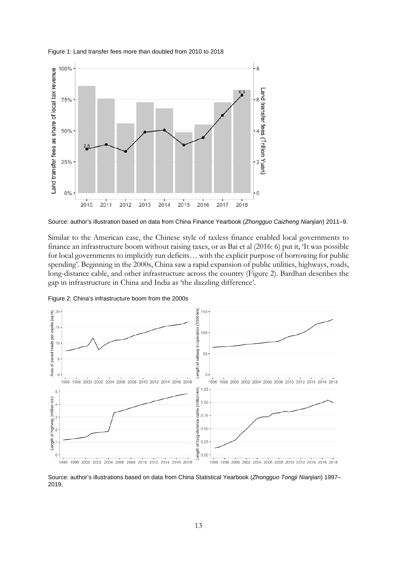



Source: author's illustration based on data from China Finance Yearbook (*Zhongguo Caizheng Nianjian*) 2011–9.

Similar to the American case, the Chinese style of taxless finance enabled local governments to finance an infrastructure boom without raising taxes, or as Bai et al (2016: 6) put it, 'It was possible for local governments to implicitly run deficits… with the explicit purpose of borrowing for public spending'. Beginning in the 2000s, China saw a rapid expansion of public utilities, highways, roads, long-distance cable, and other infrastructure across the country (Figure 2). Bardhan describes the gap in infrastructure in China and India as 'the dazzling difference'.



Figure 2: China's infrastructure boom from the 2000s

Source: author's illustrations based on data from China Statistical Yearbook (*Zhongguo Tongji Nianjian*) 1997– 2019.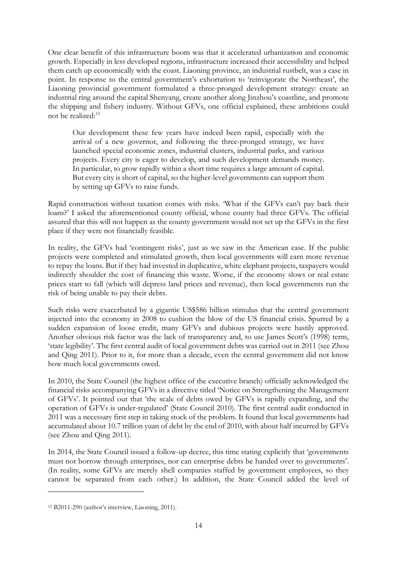One clear benefit of this infrastructure boom was that it accelerated urbanization and economic growth. Especially in less developed regions, infrastructure increased their accessibility and helped them catch up economically with the coast. Liaoning province, an industrial rustbelt, was a case in point. In response to the central government's exhortation to 'reinvigorate the Northeast', the Liaoning provincial government formulated a three-pronged development strategy: create an industrial ring around the capital Shenyang, create another along Jinzhou's coastline, and promote the shipping and fishery industry. Without GFVs, one official explained, these ambitions could not be realized:[15](#page-15-0)

Our development these few years have indeed been rapid, especially with the arrival of a new governor, and following the three-pronged strategy, we have launched special economic zones, industrial clusters, industrial parks, and various projects. Every city is eager to develop, and such development demands money. In particular, to grow rapidly within a short time requires a large amount of capital. But every city is short of capital, so the higher-level governments can support them by setting up GFVs to raise funds.

Rapid construction without taxation comes with risks. 'What if the GFVs can't pay back their loans?' I asked the aforementioned county official, whose county had three GFVs. The official assured that this will not happen as the county government would not set up the GFVs in the first place if they were not financially feasible.

In reality, the GFVs had 'contingent risks', just as we saw in the American case. If the public projects were completed and stimulated growth, then local governments will earn more revenue to repay the loans. But if they had invested in duplicative, white elephant projects, taxpayers would indirectly shoulder the cost of financing this waste. Worse, if the economy slows or real estate prices start to fall (which will depress land prices and revenue), then local governments run the risk of being unable to pay their debts.

Such risks were exacerbated by a gigantic US\$586 billion stimulus that the central government injected into the economy in 2008 to cushion the blow of the US financial crisis. Spurred by a sudden expansion of loose credit, many GFVs and dubious projects were hastily approved. Another obvious risk factor was the lack of transparency and, to use James Scott's (1998) term, 'state legibility'. The first central audit of local government debts was carried out in 2011 (see Zhou and Qing 2011). Prior to it, for more than a decade, even the central government did not know how much local governments owed.

In 2010, the State Council (the highest office of the executive branch) officially acknowledged the financial risks accompanying GFVs in a directive titled 'Notice on Strengthening the Management of GFVs'. It pointed out that 'the scale of debts owed by GFVs is rapidly expanding, and the operation of GFVs is under-regulated' (State Council 2010). The first central audit conducted in 2011 was a necessary first step in taking stock of the problem. It found that local governments had accumulated about 10.7 trillion yuan of debt by the end of 2010, with about half incurred by GFVs (see Zhou and Qing 2011).

In 2014, the State Council issued a follow-up decree, this time stating explicitly that 'governments must not borrow through enterprises, nor can enterprise debts be handed over to governments'. (In reality, some GFVs are merely shell companies staffed by government employees, so they cannot be separated from each other.) In addition, the State Council added the level of

<span id="page-15-0"></span><sup>15</sup> B2011-290 (author's interview, Liaoning, 2011).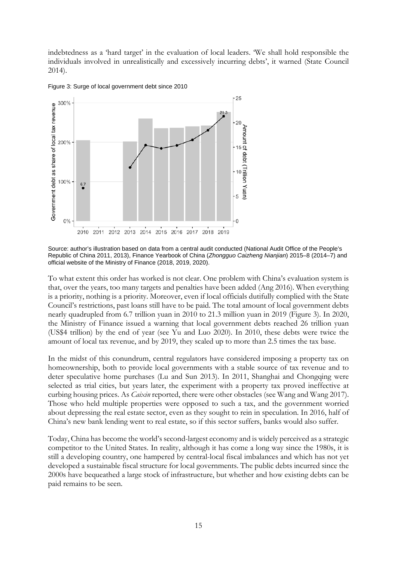indebtedness as a 'hard target' in the evaluation of local leaders. 'We shall hold responsible the individuals involved in unrealistically and excessively incurring debts', it warned (State Council 2014).



Figure 3: Surge of local government debt since 2010

To what extent this order has worked is not clear. One problem with China's evaluation system is that, over the years, too many targets and penalties have been added (Ang 2016). When everything is a priority, nothing is a priority. Moreover, even if local officials dutifully complied with the State Council's restrictions, past loans still have to be paid. The total amount of local government debts nearly quadrupled from 6.7 trillion yuan in 2010 to 21.3 million yuan in 2019 (Figure 3). In 2020, the Ministry of Finance issued a warning that local government debts reached 26 trillion yuan (US\$4 trillion) by the end of year (see Yu and Luo 2020). In 2010, these debts were twice the amount of local tax revenue, and by 2019, they scaled up to more than 2.5 times the tax base.

In the midst of this conundrum, central regulators have considered imposing a property tax on homeownership, both to provide local governments with a stable source of tax revenue and to deter speculative home purchases (Lu and Sun 2013). In 2011, Shanghai and Chongqing were selected as trial cities, but years later, the experiment with a property tax proved ineffective at curbing housing prices. As *Caixin* reported, there were other obstacles (see Wang and Wang 2017). Those who held multiple properties were opposed to such a tax, and the government worried about depressing the real estate sector, even as they sought to rein in speculation. In 2016, half of China's new bank lending went to real estate, so if this sector suffers, banks would also suffer.

Today, China has become the world's second-largest economy and is widely perceived as a strategic competitor to the United States. In reality, although it has come a long way since the 1980s, it is still a developing country, one hampered by central-local fiscal imbalances and which has not yet developed a sustainable fiscal structure for local governments. The public debts incurred since the 2000s have bequeathed a large stock of infrastructure, but whether and how existing debts can be paid remains to be seen.

Source: author's illustration based on data from a central audit conducted (National Audit Office of the People's Republic of China 2011, 2013), Finance Yearbook of China (*Zhongguo Caizheng Nianjian*) 2015–8 (2014–7) and official website of the Ministry of Finance (2018, 2019, 2020).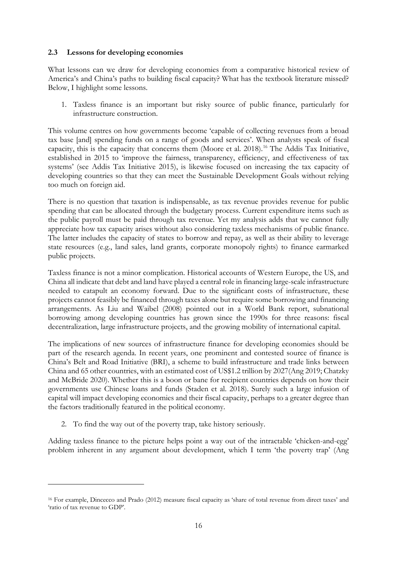### **2.3 Lessons for developing economies**

What lessons can we draw for developing economies from a comparative historical review of America's and China's paths to building fiscal capacity? What has the textbook literature missed? Below, I highlight some lessons.

1. Taxless finance is an important but risky source of public finance, particularly for infrastructure construction.

This volume centres on how governments become 'capable of collecting revenues from a broad tax base [and] spending funds on a range of goods and services'. When analysts speak of fiscal capacity, this is the capacity that concerns them (Moore et al. 2018).<sup>[16](#page-17-0)</sup> The Addis Tax Initiative, established in 2015 to 'improve the fairness, transparency, efficiency, and effectiveness of tax systems' (see Addis Tax Initiative 2015), is likewise focused on increasing the tax capacity of developing countries so that they can meet the Sustainable Development Goals without relying too much on foreign aid.

There is no question that taxation is indispensable, as tax revenue provides revenue for public spending that can be allocated through the budgetary process. Current expenditure items such as the public payroll must be paid through tax revenue. Yet my analysis adds that we cannot fully appreciate how tax capacity arises without also considering taxless mechanisms of public finance. The latter includes the capacity of states to borrow and repay, as well as their ability to leverage state resources (e.g., land sales, land grants, corporate monopoly rights) to finance earmarked public projects.

Taxless finance is not a minor complication. Historical accounts of Western Europe, the US, and China all indicate that debt and land have played a central role in financing large-scale infrastructure needed to catapult an economy forward. Due to the significant costs of infrastructure, these projects cannot feasibly be financed through taxes alone but require some borrowing and financing arrangements. As Liu and Waibel (2008) pointed out in a World Bank report, subnational borrowing among developing countries has grown since the 1990s for three reasons: fiscal decentralization, large infrastructure projects, and the growing mobility of international capital.

The implications of new sources of infrastructure finance for developing economies should be part of the research agenda. In recent years, one prominent and contested source of finance is China's Belt and Road Initiative (BRI), a scheme to build infrastructure and trade links between China and 65 other countries, with an estimated cost of US\$1.2 trillion by 2027(Ang 2019; Chatzky and McBride 2020). Whether this is a boon or bane for recipient countries depends on how their governments use Chinese loans and funds (Staden et al. 2018). Surely such a large infusion of capital will impact developing economies and their fiscal capacity, perhaps to a greater degree than the factors traditionally featured in the political economy.

2. To find the way out of the poverty trap, take history seriously.

Adding taxless finance to the picture helps point a way out of the intractable 'chicken-and-egg' problem inherent in any argument about development, which I term 'the poverty trap' (Ang

<span id="page-17-0"></span><sup>16</sup> For example, Dincecco and Prado (2012) measure fiscal capacity as 'share of total revenue from direct taxes' and 'ratio of tax revenue to GDP'.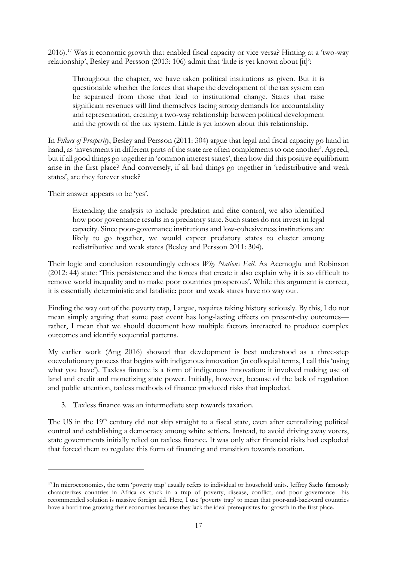2016).[17](#page-18-0) Was it economic growth that enabled fiscal capacity or vice versa? Hinting at a 'two-way relationship', Besley and Persson (2013: 106) admit that 'little is yet known about [it]':

Throughout the chapter, we have taken political institutions as given. But it is questionable whether the forces that shape the development of the tax system can be separated from those that lead to institutional change. States that raise significant revenues will find themselves facing strong demands for accountability and representation, creating a two-way relationship between political development and the growth of the tax system. Little is yet known about this relationship.

In *Pillars of Prosperity*, Besley and Persson (2011: 304) argue that legal and fiscal capacity go hand in hand, as 'investments in different parts of the state are often complements to one another'. Agreed, but if all good things go together in 'common interest states', then how did this positive equilibrium arise in the first place? And conversely, if all bad things go together in 'redistributive and weak states', are they forever stuck?

Their answer appears to be 'yes'.

Extending the analysis to include predation and elite control, we also identified how poor governance results in a predatory state. Such states do not invest in legal capacity. Since poor-governance institutions and low-cohesiveness institutions are likely to go together, we would expect predatory states to cluster among redistributive and weak states (Besley and Persson 2011: 304).

Their logic and conclusion resoundingly echoes *Why Nations Fail*. As Acemoglu and Robinson (2012: 44) state: 'This persistence and the forces that create it also explain why it is so difficult to remove world inequality and to make poor countries prosperous'. While this argument is correct, it is essentially deterministic and fatalistic: poor and weak states have no way out.

Finding the way out of the poverty trap, I argue, requires taking history seriously. By this, I do not mean simply arguing that some past event has long-lasting effects on present-day outcomes rather, I mean that we should document how multiple factors interacted to produce complex outcomes and identify sequential patterns.

My earlier work (Ang 2016) showed that development is best understood as a three-step coevolutionary process that begins with indigenous innovation (in colloquial terms, I call this 'using what you have'). Taxless finance is a form of indigenous innovation: it involved making use of land and credit and monetizing state power. Initially, however, because of the lack of regulation and public attention, taxless methods of finance produced risks that imploded.

3. Taxless finance was an intermediate step towards taxation.

The US in the 19<sup>th</sup> century did not skip straight to a fiscal state, even after centralizing political control and establishing a democracy among white settlers. Instead, to avoid driving away voters, state governments initially relied on taxless finance. It was only after financial risks had exploded that forced them to regulate this form of financing and transition towards taxation.

<span id="page-18-0"></span><sup>&</sup>lt;sup>17</sup> In microeconomics, the term 'poverty trap' usually refers to individual or household units. Jeffrey Sachs famously characterizes countries in Africa as stuck in a trap of poverty, disease, conflict, and poor governance—his recommended solution is massive foreign aid. Here, I use 'poverty trap' to mean that poor-and-backward countries have a hard time growing their economies because they lack the ideal prerequisites for growth in the first place.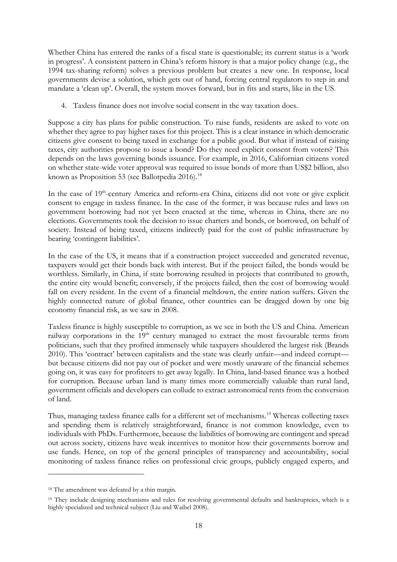Whether China has entered the ranks of a fiscal state is questionable; its current status is a 'work in progress'. A consistent pattern in China's reform history is that a major policy change (e.g., the 1994 tax-sharing reform) solves a previous problem but creates a new one. In response, local governments devise a solution, which gets out of hand, forcing central regulators to step in and mandate a 'clean up'. Overall, the system moves forward, but in fits and starts, like in the US.

4. Taxless finance does not involve social consent in the way taxation does.

Suppose a city has plans for public construction. To raise funds, residents are asked to vote on whether they agree to pay higher taxes for this project. This is a clear instance in which democratic citizens give consent to being taxed in exchange for a public good. But what if instead of raising taxes, city authorities propose to issue a bond? Do they need explicit consent from voters? This depends on the laws governing bonds issuance. For example, in 2016, Californian citizens voted on whether state-wide voter approval was required to issue bonds of more than US\$2 billion, also known as Proposition 53 (see Ballotpedia 2016).<sup>[18](#page-19-0)</sup>

In the case of 19<sup>th</sup>-century America and reform-era China, citizens did not vote or give explicit consent to engage in taxless finance. In the case of the former, it was because rules and laws on government borrowing had not yet been enacted at the time, whereas in China, there are no elections. Governments took the decision to issue charters and bonds, or borrowed, on behalf of society. Instead of being taxed, citizens indirectly paid for the cost of public infrastructure by bearing 'contingent liabilities'.

In the case of the US, it means that if a construction project succeeded and generated revenue, taxpayers would get their bonds back with interest. But if the project failed, the bonds would be worthless. Similarly, in China, if state borrowing resulted in projects that contributed to growth, the entire city would benefit; conversely, if the projects failed, then the cost of borrowing would fall on every resident. In the event of a financial meltdown, the entire nation suffers. Given the highly connected nature of global finance, other countries can be dragged down by one big economy financial risk, as we saw in 2008.

Taxless finance is highly susceptible to corruption, as we see in both the US and China. American railway corporations in the 19<sup>th</sup> century managed to extract the most favourable terms from politicians, such that they profited immensely while taxpayers shouldered the largest risk (Brands 2010). This 'contract' between capitalists and the state was clearly unfair—and indeed corrupt but because citizens did not pay out of pocket and were mostly unaware of the financial schemes going on, it was easy for profiteers to get away legally. In China, land-based finance was a hotbed for corruption. Because urban land is many times more commercially valuable than rural land, government officials and developers can collude to extract astronomical rents from the conversion of land.

Thus, managing taxless finance calls for a different set of mechanisms.<sup>[19](#page-19-1)</sup> Whereas collecting taxes and spending them is relatively straightforward, finance is not common knowledge, even to individuals with PhDs. Furthermore, because the liabilities of borrowing are contingent and spread out across society, citizens have weak incentives to monitor how their governments borrow and use funds. Hence, on top of the general principles of transparency and accountability, social monitoring of taxless finance relies on professional civic groups, publicly engaged experts, and

<span id="page-19-0"></span><sup>18</sup> The amendment was defeated by a thin margin.

<span id="page-19-1"></span><sup>&</sup>lt;sup>19</sup> They include designing mechanisms and rules for resolving governmental defaults and bankruptcies, which is a highly specialized and technical subject (Liu and Waibel 2008).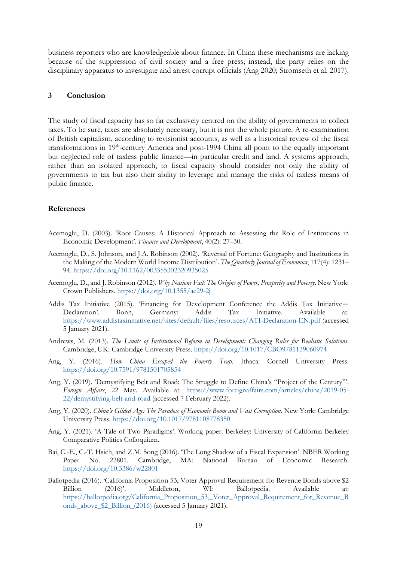business reporters who are knowledgeable about finance. In China these mechanisms are lacking because of the suppression of civil society and a free press; instead, the party relies on the disciplinary apparatus to investigate and arrest corrupt officials (Ang 2020; Stromseth et al. 2017).

#### **3 Conclusion**

The study of fiscal capacity has so far exclusively centred on the ability of governments to collect taxes. To be sure, taxes are absolutely necessary, but it is not the whole picture. A re-examination of British capitalism, according to revisionist accounts, as well as a historical review of the fiscal transformations in 19<sup>th</sup>-century America and post-1994 China all point to the equally important but neglected role of taxless public finance—in particular credit and land. A systems approach, rather than an isolated approach, to fiscal capacity should consider not only the ability of governments to tax but also their ability to leverage and manage the risks of taxless means of public finance.

#### **References**

- Acemoglu, D. (2003). 'Root Causes: A Historical Approach to Assessing the Role of Institutions in Economic Development'. *Finance and Development*, 40(2): 27–30.
- Acemoglu, D., S. Johnson, and J.A. Robinson (2002). 'Reversal of Fortune: Geography and Institutions in the Making of the Modern World Income Distribution'. *The Quarterly Journal of Economics*, 117(4): 1231– 94. <https://doi.org/10.1162/003355302320935025>
- Acemoglu, D., and J. Robinson (2012). *Why Nations Fail: The Origins of Power, Prosperity and Poverty*. New York: Crown Publishers. <https://doi.org/10.1355/ae29-2j>
- Addis Tax Initiative (2015). 'Financing for Development Conference the Addis Tax Initiative— Declaration'. Bonn, Germany: Addis Tax Initiative. Available at: <https://www.addistaxinitiative.net/sites/default/files/resources/ATI-Declaration-EN.pdf> (accessed 5 January 2021).
- Andrews, M. (2013). *The Limits of Institutional Reform in Development: Changing Rules for Realistic Solutions*. Cambridge, UK: Cambridge University Press. <https://doi.org/10.1017/CBO9781139060974>
- Ang, Y. (2016). *How China Escaped the Poverty Trap.* Ithaca: Cornell University Press. <https://doi.org/10.7591/9781501705854>
- Ang, Y. (2019). 'Demystifying Belt and Road: The Struggle to Define China's "Project of the Century"'. *Foreign Affairs*, 22 May. Available at: [https://www.foreignaffairs.com/articles/china/2019-05-](https://www.foreignaffairs.com/articles/china/2019-05-22/demystifying-belt-and-road) [22/demystifying-belt-and-road](https://www.foreignaffairs.com/articles/china/2019-05-22/demystifying-belt-and-road) (accessed 7 February 2022).
- Ang, Y. (2020). *China's Gilded Age: The Paradox of Economic Boom and Vast Corruption*. New York: Cambridge University Press. <https://doi.org/10.1017/9781108778350>
- Ang, Y. (2021). 'A Tale of Two Paradigms'. Working paper. Berkeley: University of California Berkeley Comparative Politics Colloquium.
- Bai, C.-E., C.-T. Hsieh, and Z.M. Song (2016). 'The Long Shadow of a Fiscal Expansion'. NBER Working Paper No. 22801. Cambridge, MA: National Bureau of Economic Research. <https://doi.org/10.3386/w22801>
- Ballotpedia (2016). 'California Proposition 53, Voter Approval Requirement for Revenue Bonds above \$2 Billion (2016)'. Middleton, WI: Ballotpedia. Available at: [https://ballotpedia.org/California\\_Proposition\\_53,\\_Voter\\_Approval\\_Requirement\\_for\\_Revenue\\_B](https://ballotpedia.org/California_Proposition_53,_Voter_Approval_Requirement_for_Revenue_Bonds_above_$2_Billion_(2016)) [onds\\_above\\_\\$2\\_Billion\\_\(2016\)](https://ballotpedia.org/California_Proposition_53,_Voter_Approval_Requirement_for_Revenue_Bonds_above_$2_Billion_(2016)) (accessed 5 January 2021).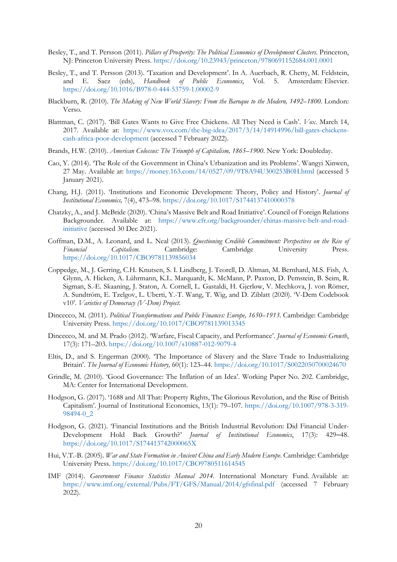- Besley, T., and T. Persson (2011). *Pillars of Prosperity: The Political Economics of Development Clusters*. Princeton, NJ: Princeton University Press. <https://doi.org/10.23943/princeton/9780691152684.001.0001>
- Besley, T., and T. Persson (2013). 'Taxation and Development'. In A. Auerbach, R. Chetty, M. Feldstein, and E. Saez (eds), *Handbook of Public Economics*, Vol. 5. Amsterdam: Elsevier. <https://doi.org/10.1016/B978-0-444-53759-1.00002-9>
- Blackburn, R. (2010). *The Making of New World Slavery: From the Baroque to the Modern, 1492*–*1800.* London: Verso.
- Blattman, C. (2017). 'Bill Gates Wants to Give Free Chickens. All They Need is Cash'. *Vox*. March 14, 2017. Available at: [https://www.vox.com/the-big-idea/2017/3/14/14914996/bill-gates-chickens](https://www.vox.com/the-big-idea/2017/3/14/14914996/bill-gates-chickens-cash-africa-poor-development)[cash-africa-poor-development](https://www.vox.com/the-big-idea/2017/3/14/14914996/bill-gates-chickens-cash-africa-poor-development) (accessed 7 February 2022).
- Brands, H.W. (2010). *American Colossus: The Triumph of Capitalism, 1865*–*1900*. New York: Doubleday.
- Cao, Y. (2014). 'The Role of the Government in China's Urbanization and its Problems'. Wangyi Xinwen, 27 May. Available at: <https://money.163.com/14/0527/09/9T8A94U300253B0H.html> (accessed 5 January 2021).
- Chang, H.J. (2011). 'Institutions and Economic Development: Theory, Policy and History'. *Journal of Institutional Economics,* 7(4), 473–98. <https://doi.org/10.1017/S1744137410000378>
- Chatzky, A., and J. McBride (2020). 'China's Massive Belt and Road Initiative'. Council of Foreign Relations Backgrounder. Available at: [https://www.cfr.org/backgrounder/chinas-massive-belt-and-road](https://www.cfr.org/backgrounder/chinas-massive-belt-and-road-initiative)[initiative](https://www.cfr.org/backgrounder/chinas-massive-belt-and-road-initiative) (accessed 30 Dec 2021).
- Coffman, D.M., A. Leonard, and L. Neal (2013). *Questioning Credible Commitment: Perspectives on the Rise of Financial Capitalism.* Cambridge: Cambridge University Press. <https://doi.org/10.1017/CBO9781139856034>
- Coppedge, M., J. Gerring, C.H. Knutsen, S. I. Lindberg, J. Teorell, D. Altman, M. Bernhard, M.S. Fish, A. Glynn, A. Hicken, A. Lührmann, K.L. Marquardt, K. McMann, P. Paxton, D. Pemstein, B. Seim, R. Sigman, S.-E. Skaaning, J. Staton, A. Cornell, L. Gastaldi, H. Gjerløw, V. Mechkova, J. von Römer, A. Sundtröm, E. Tzelgov, L. Uberti, Y.-T. Wang, T. Wig, and D. Ziblatt (2020). 'V-Dem Codebook v10'. *Varieties of Democracy (V-Dem) Project*.
- Dincecco, M. (2011). *Political Transformations and Public Finances: Europe, 1650*–*1913*. Cambridge: Cambridge University Press. <https://doi.org/10.1017/CBO9781139013345>
- Dincecco, M. and M. Prado (2012). 'Warfare, Fiscal Capacity, and Performance'. *Journal of Economic Growth*, 17(3): 171–203. <https://doi.org/10.1007/s10887-012-9079-4>
- Eltis, D., and S. Engerman (2000). 'The Importance of Slavery and the Slave Trade to Industrializing Britain'. *The Journal of Economic History,* 60(1): 123–44. <https://doi.org/10.1017/S0022050700024670>
- Grindle, M. (2010). 'Good Governance: The Inflation of an Idea'. Working Paper No. 202. Cambridge, MA: Center for International Development.
- Hodgson, G. (2017). '1688 and All That: Property Rights, The Glorious Revolution, and the Rise of British Capitalism'. Journal of Institutional Economics, 13(1): 79–107. [https://doi.org/10.1007/978-3-319-](https://doi.org/10.1007/978-3-319-98494-0_2) [98494-0\\_2](https://doi.org/10.1007/978-3-319-98494-0_2)
- Hodgson, G. (2021). 'Financial Institutions and the British Industrial Revolution: Did Financial Under-Development Hold Back Growth?' *Journal of Institutional Economics*, 17(3): 429–48. <https://doi.org/10.1017/S174413742000065X>
- Hui, V.T.-B. (2005). *War and State Formation in Ancient China and Early Modern Europe*. Cambridge: Cambridge University Press.<https://doi.org/10.1017/CBO9780511614545>
- IMF (2014). *Government Finance Statistics Manual 2014.* International Monetary Fund. Available at: <https://www.imf.org/external/Pubs/FT/GFS/Manual/2014/gfsfinal.pdf> (accessed 7 February 2022).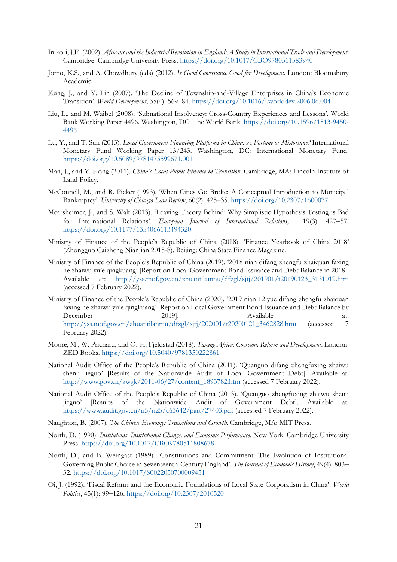- Inikori, J.E. (2002). *Africans and the Industrial Revolution in England: A Study in International Trade and Development*. Cambridge: Cambridge University Press.<https://doi.org/10.1017/CBO9780511583940>
- Jomo, K.S., and A. Chowdhury (eds) (2012). *Is Good Governance Good for Development.* London: Bloomsbury Academic.
- Kung, J., and Y. Lin (2007). 'The Decline of Township-and-Village Enterprises in China's Economic Transition'. *World Development*, 35(4): 569–84. <https://doi.org/10.1016/j.worlddev.2006.06.004>
- Liu, L., and M. Waibel (2008). 'Subnational Insolvency: Cross-Country Experiences and Lessons'. World Bank Working Paper 4496. Washington, DC: The World Bank. [https://doi.org/10.1596/1813-9450-](https://doi.org/10.1596/1813-9450-4496) [4496](https://doi.org/10.1596/1813-9450-4496)
- Lu, Y., and T. Sun (2013). *Local Government Financing Platforms in China: A Fortune or Misfortune?* International Monetary Fund Working Paper 13/243. Washington, DC: International Monetary Fund. <https://doi.org/10.5089/9781475599671.001>
- Man, J., and Y. Hong (2011). *China's Local Public Finance in Transition*. Cambridge, MA: Lincoln Institute of Land Policy.
- McConnell, M., and R. Picker (1993). 'When Cities Go Broke: A Conceptual Introduction to Municipal Bankruptcy'. *University of Chicago Law Review*, 60(2): 425–35. <https://doi.org/10.2307/1600077>
- Mearsheimer, J., and S. Walt (2013). 'Leaving Theory Behind: Why Simplistic Hypothesis Testing is Bad for International Relations'. *European Journal of International Relations*, 19(3): 427–57. <https://doi.org/10.1177/1354066113494320>
- Ministry of Finance of the People's Republic of China (2018). 'Finance Yearbook of China 2018' (Zhongguo Caizheng Nianjian 2015-8). Beijing: China State Finance Magazine.
- Ministry of Finance of the People's Republic of China (2019). '2018 nian difang zhengfu zhaiquan faxing he zhaiwu yu'e qingkuang' [Report on Local Government Bond Issuance and Debt Balance in 2018]. Available at: [http://yss.mof.gov.cn/zhuantilanmu/dfzgl/sjtj/201901/t20190123\\_3131019.htm](http://yss.mof.gov.cn/zhuantilanmu/dfzgl/sjtj/201901/t20190123_3131019.htm) (accessed 7 February 2022).
- Ministry of Finance of the People's Republic of China (2020). '2019 nian 12 yue difang zhengfu zhaiquan faxing he zhaiwu yu'e qingkuang' [Report on Local Government Bond Issuance and Debt Balance by December 2019]. Available at: [http://yss.mof.gov.cn/zhuantilanmu/dfzgl/sjtj/202001/t20200121\\_3462828.htm](http://yss.mof.gov.cn/zhuantilanmu/dfzgl/sjtj/202001/t20200121_3462828.htm) (accessed 7 February 2022).
- Moore, M., W. Prichard, and O.-H. Fjeldstad (2018). *Taxing Africa: Coercion, Reform and Development*. London: ZED Books. <https://doi.org/10.5040/9781350222861>
- National Audit Office of the People's Republic of China (2011). 'Quanguo difang zhengfuxing zhaiwu shenji jieguo' [Results of the Nationwide Audit of Local Government Debt]. Available at: [http://www.gov.cn/zwgk/2011-06/27/content\\_1893782.htm](http://www.gov.cn/zwgk/2011-06/27/content_1893782.htm) (accessed 7 February 2022).
- National Audit Office of the People's Republic of China (2013). 'Quanguo zhengfuxing zhaiwu shenji jieguo' [Results of the Nationwide Audit of Government Debt]. Available at: <https://www.audit.gov.cn/n5/n25/c63642/part/27403.pdf> (accessed 7 February 2022).
- Naughton, B. (2007). *The Chinese Economy: Transitions and Growth*. Cambridge, MA: MIT Press.
- North, D. (1990). *Institutions, Institutional Change, and Economic Performance*. New York: Cambridge University Press. <https://doi.org/10.1017/CBO9780511808678>
- North, D., and B. Weingast (1989). 'Constitutions and Commitment: The Evolution of Institutional Governing Public Choice in Seventeenth-Century England'. *The Journal of Economic History*, 49(4): 803– 32. <https://doi.org/10.1017/S0022050700009451>
- Oi, J. (1992). 'Fiscal Reform and the Economic Foundations of Local State Corporatism in China'. *World Politics*, 45(1): 99–126. <https://doi.org/10.2307/2010520>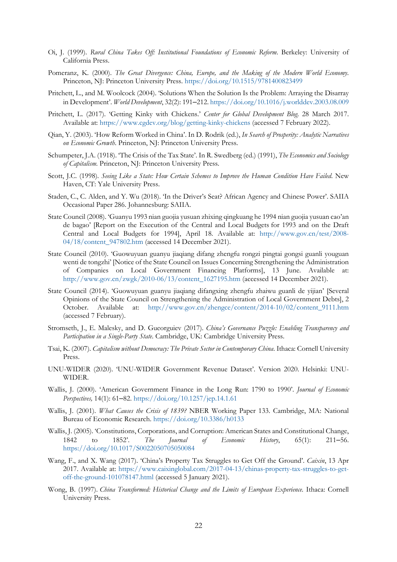- Oi, J. (1999). *Rural China Takes Off: Institutional Foundations of Economic Reform*. Berkeley: University of California Press.
- Pomeranz, K. (2000). *The Great Divergence: China, Europe, and the Making of the Modern World Economy*. Princeton, NJ: Princeton University Press. <https://doi.org/10.1515/9781400823499>
- Pritchett, L., and M. Woolcock (2004). 'Solutions When the Solution Is the Problem: Arraying the Disarray in Development'. *World Development*, 32(2): 191–212. <https://doi.org/10.1016/j.worlddev.2003.08.009>
- Pritchett, L. (2017). 'Getting Kinky with Chickens.' *Center for Global Development Blog*. 28 March 2017. Available at:<https://www.cgdev.org/blog/getting-kinky-chickens> (accessed 7 February 2022).
- Qian, Y. (2003). 'How Reform Worked in China'. In D. Rodrik (ed.), *In Search of Prosperity: Analytic Narratives on Economic Growth*. Princeton, NJ: Princeton University Press.
- Schumpeter, J.A. (1918). 'The Crisis of the Tax State'. In R. Swedberg (ed.) (1991), *The Economics and Sociology of Capitalism*. Princeton, NJ: Princeton University Press.
- Scott, J.C. (1998). *Seeing Like a State: How Certain Schemes to Improve the Human Condition Have Failed*. New Haven, CT: Yale University Press.
- Staden, C., C. Alden, and Y. Wu (2018). 'In the Driver's Seat? African Agency and Chinese Power'. SAIIA Occasional Paper 286. Johannesburg: SAIIA.
- State Council (2008). 'Guanyu 1993 nian guojia yusuan zhixing qingkuang he 1994 nian guojia yusuan cao'an de bagao' [Report on the Execution of the Central and Local Budgets for 1993 and on the Draft Central and Local Budgets for 1994], April 18. Available at: [http://www.gov.cn/test/2008-](http://www.gov.cn/test/2008-04/18/content_947802.htm) [04/18/content\\_947802.htm](http://www.gov.cn/test/2008-04/18/content_947802.htm) (accessed 14 December 2021).
- State Council (2010). 'Guowuyuan guanyu jiaqiang difang zhengfu rongzi pingtai gongsi guanli youguan wenti de tongzhi' [Notice of the State Council on Issues Concerning Strengthening the Administration of Companies on Local Government Financing Platforms], 13 June. Available at: [http://www.gov.cn/zwgk/2010-06/13/content\\_1627195.htm](http://www.gov.cn/zwgk/2010-06/13/content_1627195.htm) (accessed 14 December 2021).
- State Council (2014). 'Guowuyuan guanyu jiaqiang difangxing zhengfu zhaiwu guanli de yijian' [Several Opinions of the State Council on Strengthening the Administration of Local Government Debts], 2 October. Available at: [http://www.gov.cn/zhengce/content/2014-10/02/content\\_9111.htm](http://www.gov.cn/zhengce/content/2014-10/02/content_9111.htm) (accessed 7 February).
- Stromseth, J., E. Malesky, and D. Gueorguiev (2017). *China's Governance Puzzle: Enabling Transparency and Participation in a Single-Party State*. Cambridge, UK: Cambridge University Press.
- Tsai, K. (2007). *Capitalism without Democracy: The Private Sector in Contemporary China*. Ithaca: Cornell University Press.
- UNU-WIDER (2020). 'UNU-WIDER Government Revenue Dataset'. Version 2020. Helsinki: UNU-WIDER.
- Wallis, J. (2000). 'American Government Finance in the Long Run: 1790 to 1990'. *Journal of Economic Perspectives,* 14(1): 61–82. <https://doi.org/10.1257/jep.14.1.61>
- Wallis, J. (2001). *What Causes the Crisis of 1839?* NBER Working Paper 133. Cambridge, MA: National Bureau of Economic Research. <https://doi.org/10.3386/h0133>
- Wallis, J. (2005). 'Constitutions, Corporations, and Corruption: American States and Constitutional Change, 1842 to 1852'. *The Journal of Economic History*, 65(1): 211–56. <https://doi.org/10.1017/S0022050705050084>
- Wang, F., and X. Wang (2017). 'China's Property Tax Struggles to Get Off the Ground'. *Caixin*, 13 Apr 2017. Available at: [https://www.caixinglobal.com/2017-04-13/chinas-property-tax-struggles-to-get](https://www.caixinglobal.com/2017-04-13/chinas-property-tax-struggles-to-get-off-the-ground-101078147.html)[off-the-ground-101078147.html](https://www.caixinglobal.com/2017-04-13/chinas-property-tax-struggles-to-get-off-the-ground-101078147.html) (accessed 5 January 2021).
- Wong, B. (1997). *China Transformed: Historical Change and the Limits of European Experience.* Ithaca: Cornell University Press.